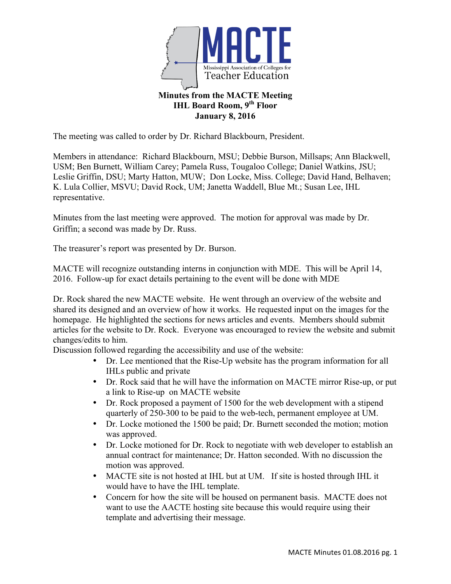

The meeting was called to order by Dr. Richard Blackbourn, President.

Members in attendance: Richard Blackbourn, MSU; Debbie Burson, Millsaps; Ann Blackwell, USM; Ben Burnett, William Carey; Pamela Russ, Tougaloo College; Daniel Watkins, JSU; Leslie Griffin, DSU; Marty Hatton, MUW; Don Locke, Miss. College; David Hand, Belhaven; K. Lula Collier, MSVU; David Rock, UM; Janetta Waddell, Blue Mt.; Susan Lee, IHL representative.

Minutes from the last meeting were approved. The motion for approval was made by Dr. Griffin; a second was made by Dr. Russ.

The treasurer's report was presented by Dr. Burson.

MACTE will recognize outstanding interns in conjunction with MDE. This will be April 14, 2016. Follow-up for exact details pertaining to the event will be done with MDE

Dr. Rock shared the new MACTE website. He went through an overview of the website and shared its designed and an overview of how it works. He requested input on the images for the homepage. He highlighted the sections for news articles and events. Members should submit articles for the website to Dr. Rock. Everyone was encouraged to review the website and submit changes/edits to him.

Discussion followed regarding the accessibility and use of the website:

- Dr. Lee mentioned that the Rise-Up website has the program information for all IHLs public and private
- Dr. Rock said that he will have the information on MACTE mirror Rise-up, or put a link to Rise-up on MACTE website
- Dr. Rock proposed a payment of 1500 for the web development with a stipend quarterly of 250-300 to be paid to the web-tech, permanent employee at UM.
- Dr. Locke motioned the 1500 be paid; Dr. Burnett seconded the motion; motion was approved.
- Dr. Locke motioned for Dr. Rock to negotiate with web developer to establish an annual contract for maintenance; Dr. Hatton seconded. With no discussion the motion was approved.
- MACTE site is not hosted at IHL but at UM. If site is hosted through IHL it would have to have the IHL template.
- Concern for how the site will be housed on permanent basis. MACTE does not want to use the AACTE hosting site because this would require using their template and advertising their message.